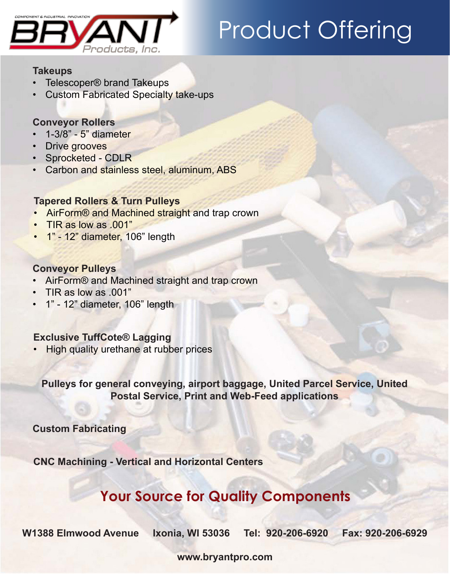

# Product Offering

#### **Takeups**

- Telescoper® brand Takeups
- **Custom Fabricated Specialty take-ups**

### **Conveyor Rollers**

- • 1-3/8" 5" diameter
- **Drive grooves**
- • Sprocketed CDLR
- • Carbon and stainless steel, aluminum, ABS

### **Tapered Rollers & Turn Pulleys**

- AirForm® and Machined straight and trap crown
- TIR as low as .001"
- 1" 12" diameter, 106" length

### **Conveyor Pulleys**

- • AirForm® and Machined straight and trap crown
- • TIR as low as .001"
- • 1" 12" diameter, 106" length

### **Exclusive TuffCote® Lagging**

**High quality urethane at rubber prices** 

**Pulleys for general conveying, airport baggage, United Parcel Service, United Postal Service, Print and Web-Feed applications**

**Custom Fabricating**

**CNC Machining - Vertical and Horizontal Centers**

# **Your Source for Quality Components**

**W1388 Elmwood Avenue Ixonia, WI 53036 Tel: 920-206-6920 Fax: 920-206-6929**

**www.bryantpro.com**